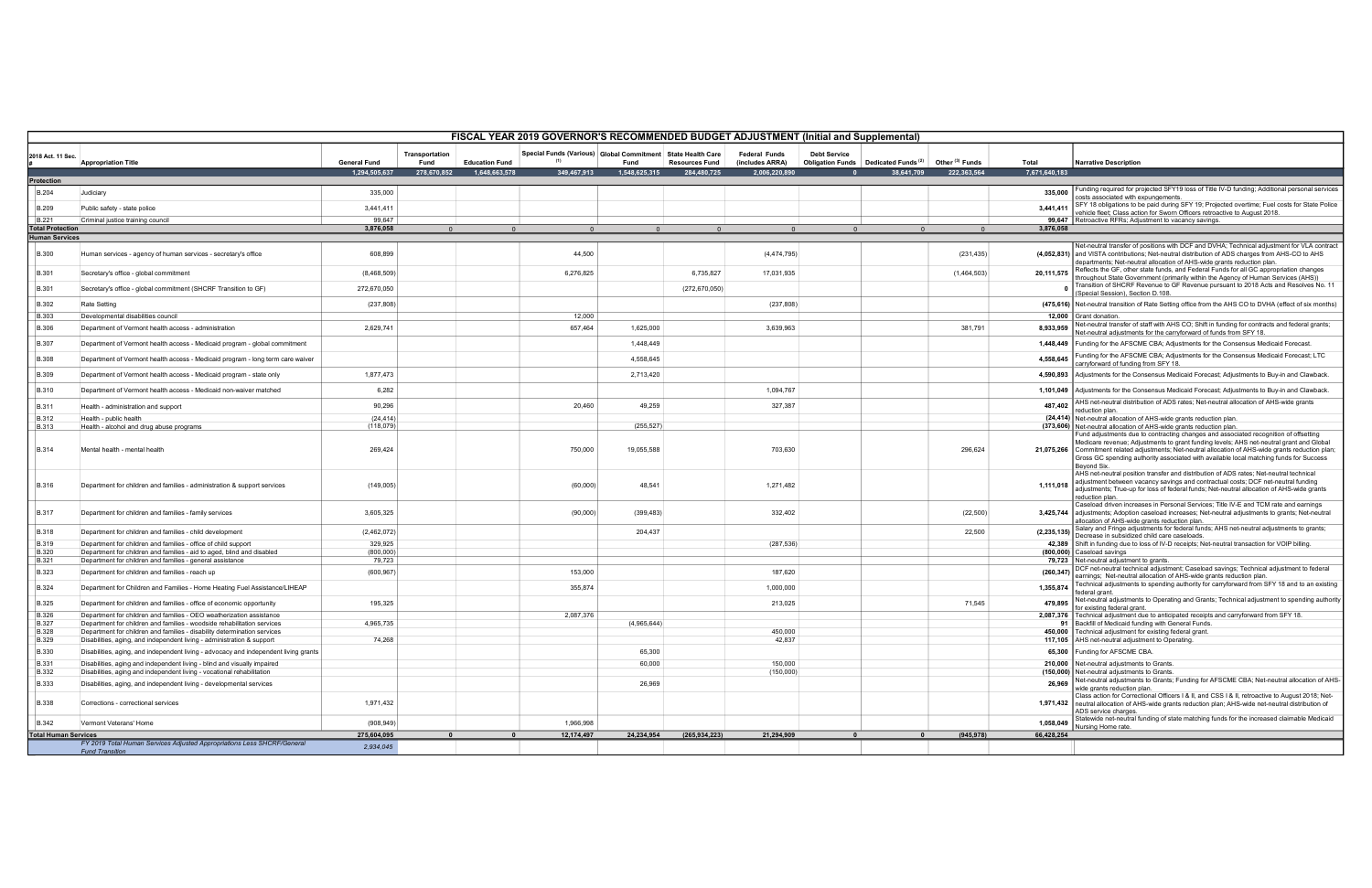| FISCAL YEAR 2019 GOVERNOR'S RECOMMENDED BUDGET ADJUSTMENT (Initial and Supplemental) |                                                                                                                                                     |                                      |                                       |                                        |                                                                            |                       |                                      |                                                          |                     |                                                               |                                           |                        |                                                                                                                                                                                                                                                                                                                                                                                                  |
|--------------------------------------------------------------------------------------|-----------------------------------------------------------------------------------------------------------------------------------------------------|--------------------------------------|---------------------------------------|----------------------------------------|----------------------------------------------------------------------------|-----------------------|--------------------------------------|----------------------------------------------------------|---------------------|---------------------------------------------------------------|-------------------------------------------|------------------------|--------------------------------------------------------------------------------------------------------------------------------------------------------------------------------------------------------------------------------------------------------------------------------------------------------------------------------------------------------------------------------------------------|
| 2018 Act. 11 Sec                                                                     | <b>Appropriation Title</b>                                                                                                                          | <b>General Fund</b><br>1.294.505.637 | Transportation<br>Fund<br>278,670,852 | <b>Education Fund</b><br>1.648.663.578 | Special Funds (Various) Global Commitment State Health Care<br>349.467.913 | Fund<br>1.548.625.315 | <b>Resources Fund</b><br>284,480,725 | <b>Federal Funds</b><br>(includes ARRA)<br>2.006.220.890 | <b>Debt Service</b> | Obligation Funds Dedicated Funds <sup>(2)</sup><br>38.641.709 | Other <sup>(3)</sup> Funds<br>222,363,564 | Total<br>7,671,640,183 | <b>Narrative Description</b>                                                                                                                                                                                                                                                                                                                                                                     |
| Protection                                                                           |                                                                                                                                                     |                                      |                                       |                                        |                                                                            |                       |                                      |                                                          |                     |                                                               |                                           |                        |                                                                                                                                                                                                                                                                                                                                                                                                  |
| <b>B.204</b>                                                                         | Judiciary                                                                                                                                           | 335,000                              |                                       |                                        |                                                                            |                       |                                      |                                                          |                     |                                                               |                                           | 335,000                | Funding required for projected SFY19 loss of Title IV-D funding; Additional personal services<br>costs associated with expungements.                                                                                                                                                                                                                                                             |
| <b>B.209</b>                                                                         | Public safety - state police                                                                                                                        | 3,441,411                            |                                       |                                        |                                                                            |                       |                                      |                                                          |                     |                                                               |                                           |                        | 3,441,411 SFY 18 obligations to be paid during SFY 19; Projected overtime; Fuel costs for State Police<br>vehicle fleet; Class action for Sworn Officers retroactive to August 2018.                                                                                                                                                                                                             |
| <b>B.221</b>                                                                         | Criminal justice training council                                                                                                                   | 99.647                               |                                       |                                        |                                                                            |                       |                                      |                                                          |                     |                                                               |                                           |                        | 99,647 Retroactive RFRs; Adjustment to vacancy savings.                                                                                                                                                                                                                                                                                                                                          |
| <b>Total Protection</b><br><b>Human Services</b>                                     |                                                                                                                                                     | 3,876,058                            |                                       | $\sqrt{2}$                             |                                                                            |                       |                                      | $\cap$                                                   |                     |                                                               | $\sqrt{2}$                                | 3,876,058              |                                                                                                                                                                                                                                                                                                                                                                                                  |
|                                                                                      |                                                                                                                                                     |                                      |                                       |                                        |                                                                            |                       |                                      |                                                          |                     |                                                               |                                           |                        | Net-neutral transfer of positions with DCF and DVHA; Technical adjustment for VLA contract                                                                                                                                                                                                                                                                                                       |
| <b>B.300</b>                                                                         | Human services - agency of human services - secretary's office                                                                                      | 608,899                              |                                       |                                        | 44,500                                                                     |                       |                                      | (4, 474, 795)                                            |                     |                                                               | (231, 435)                                |                        | (4,052,831) and VISTA contributions; Net-neutral distribution of ADS charges from AHS-CO to AHS<br>departments; Net-neutral allocation of AHS-wide grants reduction plan                                                                                                                                                                                                                         |
| <b>B.301</b>                                                                         | Secretary's office - global commitment                                                                                                              | (8,468,509)                          |                                       |                                        | 6,276,825                                                                  |                       | 6,735,827                            | 17,031,935                                               |                     |                                                               | (1,464,503)                               | 20.111.575             | Reflects the GF, other state funds, and Federal Funds for all GC appropriation changes<br>throughout State Government (primarily within the Agency of Human Services (AHS))                                                                                                                                                                                                                      |
| <b>B.301</b>                                                                         | Secretary's office - global commitment (SHCRF Transition to GF)                                                                                     | 272,670,050                          |                                       |                                        |                                                                            |                       | (272, 670, 050)                      |                                                          |                     |                                                               |                                           |                        | Transition of SHCRF Revenue to GF Revenue pursuant to 2018 Acts and Resolves No. 11<br>(Special Session), Section D.108.                                                                                                                                                                                                                                                                         |
| <b>B.302</b>                                                                         | Rate Setting                                                                                                                                        | (237, 808)                           |                                       |                                        |                                                                            |                       |                                      | (237, 808)                                               |                     |                                                               |                                           |                        | (475,616) Net-neutral transition of Rate Setting office from the AHS CO to DVHA (effect of six months)                                                                                                                                                                                                                                                                                           |
| <b>B.303</b>                                                                         | Developmental disabilities council                                                                                                                  |                                      |                                       |                                        | 12,000                                                                     |                       |                                      |                                                          |                     |                                                               |                                           |                        | 12,000 Grant donation                                                                                                                                                                                                                                                                                                                                                                            |
| <b>B.306</b>                                                                         | Department of Vermont health access - administration                                                                                                | 2,629,741                            |                                       |                                        | 657,464                                                                    | 1,625,000             |                                      | 3,639,963                                                |                     |                                                               | 381,791                                   | 8,933,959              | Net-neutral transfer of staff with AHS CO; Shift in funding for contracts and federal grants;<br>Net-neutral adjustments for the carryforward of funds from SFY 18.                                                                                                                                                                                                                              |
| <b>B.307</b>                                                                         | Department of Vermont health access - Medicaid program - global commitment                                                                          |                                      |                                       |                                        |                                                                            | 1,448,449             |                                      |                                                          |                     |                                                               |                                           |                        | 1,448,449 Funding for the AFSCME CBA; Adjustments for the Consensus Medicaid Forecast.<br>Funding for the AFSCME CBA; Adjustments for the Consensus Medicaid Forecast; LTC                                                                                                                                                                                                                       |
| <b>B.308</b>                                                                         | Department of Vermont health access - Medicaid program - long term care waiver                                                                      |                                      |                                       |                                        |                                                                            | 4,558,645             |                                      |                                                          |                     |                                                               |                                           | 4,558,645              | carryforward of funding from SFY 18.                                                                                                                                                                                                                                                                                                                                                             |
| <b>B.309</b>                                                                         | Department of Vermont health access - Medicaid program - state only                                                                                 | 1,877,473                            |                                       |                                        |                                                                            | 2,713,420             |                                      |                                                          |                     |                                                               |                                           |                        | 4,590,893 Adjustments for the Consensus Medicaid Forecast; Adjustments to Buy-in and Clawback                                                                                                                                                                                                                                                                                                    |
| <b>B.310</b>                                                                         | Department of Vermont health access - Medicaid non-waiver matched                                                                                   | 6,282<br>90,296                      |                                       |                                        | 20,460                                                                     | 49,259                |                                      | 1,094,767<br>327,387                                     |                     |                                                               |                                           |                        | 1,101,049    Adjustments for the Consensus Medicaid Forecast; Adjustments to Buy-in and Clawback.<br>487,402 AHS net-neutral distribution of ADS rates; Net-neutral allocation of AHS-wide grants                                                                                                                                                                                                |
| <b>B.311</b>                                                                         | Health - administration and support                                                                                                                 |                                      |                                       |                                        |                                                                            |                       |                                      |                                                          |                     |                                                               |                                           |                        | reduction plan.                                                                                                                                                                                                                                                                                                                                                                                  |
| <b>B.312</b><br><b>B.313</b>                                                         | Health - public health<br>Health - alcohol and drug abuse programs                                                                                  | (24, 414)<br>(118,079)               |                                       |                                        |                                                                            | (255, 527)            |                                      |                                                          |                     |                                                               |                                           |                        | (24,414) Net-neutral allocation of AHS-wide grants reduction plan.<br>(373,606) Net-neutral allocation of AHS-wide grants reduction plan.                                                                                                                                                                                                                                                        |
| <b>B.314</b>                                                                         | Mental health - mental health                                                                                                                       | 269,424                              |                                       |                                        | 750,000                                                                    | 19,055,588            |                                      | 703,630                                                  |                     |                                                               | 296,624                                   |                        | Fund adjustments due to contracting changes and associated recognition of offsetting<br>Medicare revenue; Adjustments to grant funding levels; AHS net-neutral grant and Global<br>21,075,266 Commitment related adjustments; Net-neutral allocation of AHS-wide grants reduction plan;<br>Gross GC spending authority associated with available local matching funds for Success<br>Beyond Six. |
| <b>B.316</b>                                                                         | Department for children and families - administration & support services                                                                            | (149,005)                            |                                       |                                        | (60,000)                                                                   | 48,541                |                                      | 1,271,482                                                |                     |                                                               |                                           | 1,111,018              | AHS net-neutral position transfer and distribution of ADS rates; Net-neutral technical<br>adjustment between vacancy savings and contractual costs; DCF net-neutral funding<br>adjustments; True-up for loss of federal funds; Net-neutral allocation of AHS-wide grants<br>reduction plan.                                                                                                      |
| <b>B.317</b>                                                                         | Department for children and families - family services                                                                                              | 3,605,325                            |                                       |                                        | (90,000)                                                                   | (399, 483)            |                                      | 332,402                                                  |                     |                                                               | (22, 500)                                 |                        | Caseload driven increases in Personal Services; Title IV-E and TCM rate and earnings<br>3,425,744 adjustments; Adoption caseload increases; Net-neutral adjustments to grants; Net-neutral<br>allocation of AHS-wide grants reduction plan.                                                                                                                                                      |
| <b>B.318</b>                                                                         | Department for children and families - child development                                                                                            | (2,462,072)                          |                                       |                                        |                                                                            | 204,437               |                                      |                                                          |                     |                                                               | 22,500                                    |                        | (2,235,135) Salary and Fringe adjustments for federal funds; AHS net-neutral adjustments to grants;<br>Decrease in subsidized child care caseloads.                                                                                                                                                                                                                                              |
| <b>B.319</b>                                                                         | Department for children and families - office of child support                                                                                      | 329.925                              |                                       |                                        |                                                                            |                       |                                      | (287, 536)                                               |                     |                                                               |                                           |                        | 42,389 Shift in funding due to loss of IV-D receipts; Net-neutral transaction for VOIP billing.                                                                                                                                                                                                                                                                                                  |
| <b>B.320</b>                                                                         | Department for children and families - aid to aged, blind and disabled                                                                              | (800,000)<br>79,723                  |                                       |                                        |                                                                            |                       |                                      |                                                          |                     |                                                               |                                           |                        | (800,000) Caseload savings<br>79,723 Net-neutral adjustment to grants.                                                                                                                                                                                                                                                                                                                           |
| <b>B.321</b><br><b>B.323</b>                                                         | Department for children and families - general assistance<br>Department for children and families - reach up                                        | (600, 967)                           |                                       |                                        | 153,000                                                                    |                       |                                      | 187,620                                                  |                     |                                                               |                                           | (260, 347)             | DCF net-neutral technical adjustment; Caseload savings; Technical adjustment to federal<br>earnings; Net-neutral allocation of AHS-wide grants reduction plan.                                                                                                                                                                                                                                   |
| <b>B.324</b>                                                                         | Department for Children and Families - Home Heating Fuel Assistance/LIHEAP                                                                          |                                      |                                       |                                        | 355,874                                                                    |                       |                                      | 1,000,000                                                |                     |                                                               |                                           | 1,355,874              | Technical adjustments to spending authority for carryforward from SFY 18 and to an existing<br>federal grant                                                                                                                                                                                                                                                                                     |
| <b>B.325</b>                                                                         | Department for children and families - office of economic opportunity                                                                               | 195,325                              |                                       |                                        |                                                                            |                       |                                      | 213,025                                                  |                     |                                                               | 71,545                                    | 479,895                | Net-neutral adjustments to Operating and Grants; Technical adjustment to spending authority<br>for existing federal grant.                                                                                                                                                                                                                                                                       |
| <b>B.326</b>                                                                         | Department for children and families - OEO weatherization assistance                                                                                |                                      |                                       |                                        | 2,087,376                                                                  |                       |                                      |                                                          |                     |                                                               |                                           |                        | 2,087,376 Technical adjustment due to anticipated receipts and carryforward from SFY 18.                                                                                                                                                                                                                                                                                                         |
| <b>B.327</b><br><b>B.328</b>                                                         | Department for children and families - woodside rehabilitation services<br>Department for children and families - disability determination services | 4,965,735                            |                                       |                                        |                                                                            | (4,965,644)           |                                      | 450,000                                                  |                     |                                                               |                                           |                        | 91 Backfill of Medicaid funding with General Funds.<br>450,000 Technical adjustment for existing federal grant.                                                                                                                                                                                                                                                                                  |
| <b>B.329</b>                                                                         | Disabilities, aging, and independent living - administration & support                                                                              | 74,268                               |                                       |                                        |                                                                            |                       |                                      | 42,837                                                   |                     |                                                               |                                           |                        | 117,105 AHS net-neutral adjustment to Operating                                                                                                                                                                                                                                                                                                                                                  |
| <b>B.330</b>                                                                         | Disabilities, aging, and independent living - advocacy and independent living grants                                                                |                                      |                                       |                                        |                                                                            | 65,300                |                                      |                                                          |                     |                                                               |                                           |                        | 65,300 Funding for AFSCME CBA.                                                                                                                                                                                                                                                                                                                                                                   |
| <b>B.331</b>                                                                         | Disabilities, aging and independent living - blind and visually impaired                                                                            |                                      |                                       |                                        |                                                                            | 60,000                |                                      | 150,000                                                  |                     |                                                               |                                           |                        | 210,000 Net-neutral adjustments to Grants.                                                                                                                                                                                                                                                                                                                                                       |
| <b>B.332</b><br><b>B.333</b>                                                         | Disabilities, aging and independent living - vocational rehabilitation<br>Disabilities, aging, and independent living - developmental services      |                                      |                                       |                                        |                                                                            | 26,969                |                                      | (150,000)                                                |                     |                                                               |                                           | 26,969                 | (150,000) Net-neutral adjustments to Grants.<br>Net-neutral adjustments to Grants; Funding for AFSCME CBA; Net-neutral allocation of AHS-<br>wide grants reduction plan.                                                                                                                                                                                                                         |
| <b>B.338</b>                                                                         | Corrections - correctional services                                                                                                                 | 1,971,432                            |                                       |                                        |                                                                            |                       |                                      |                                                          |                     |                                                               |                                           |                        | Class action for Correctional Officers I & II, and CSS I & II, retroactive to August 2018; Net-<br>1,971,432 neutral allocation of AHS-wide grants reduction plan; AHS-wide net-neutral distribution of<br>ADS service charges.                                                                                                                                                                  |
| <b>B.342</b>                                                                         | Vermont Veterans' Home                                                                                                                              | (908, 949)                           |                                       |                                        | 1,966,998                                                                  |                       |                                      |                                                          |                     |                                                               |                                           | 1,058,049              | Statewide net-neutral funding of state matching funds for the increased claimable Medicaid<br>Nursing Home rate.                                                                                                                                                                                                                                                                                 |
| <b>Total Human Services</b>                                                          |                                                                                                                                                     | 275,604,095                          |                                       |                                        | 12,174,497                                                                 | 24,234,954            | (265, 934, 223)                      | 21,294,909                                               |                     | $\mathbf{0}$                                                  | (945, 978)                                | 66,428,254             |                                                                                                                                                                                                                                                                                                                                                                                                  |
|                                                                                      | FY 2019 Total Human Services Adjusted Appropriations Less SHCRF/General<br><b>Fund Transition</b>                                                   | 2,934,045                            |                                       |                                        |                                                                            |                       |                                      |                                                          |                     |                                                               |                                           |                        |                                                                                                                                                                                                                                                                                                                                                                                                  |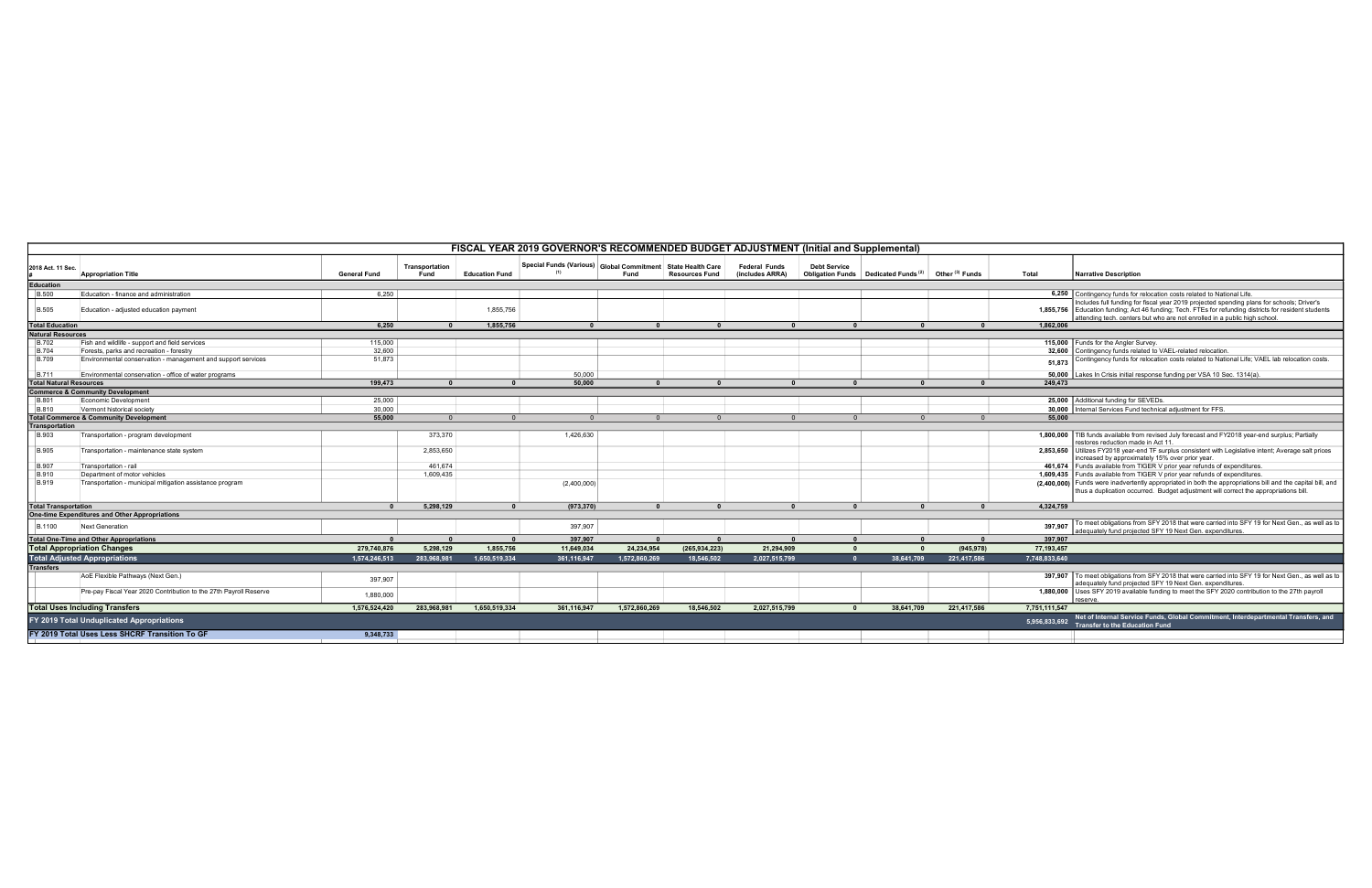|                                           | FISCAL YEAR 2019 GOVERNOR'S RECOMMENDED BUDGET ADJUSTMENT (Initial and Supplemental) |                     |                        |                       |                                                               |               |                       |                                         |                                                                        |            |                            |               |                                                                                                                                                                                                                                                                                 |
|-------------------------------------------|--------------------------------------------------------------------------------------|---------------------|------------------------|-----------------------|---------------------------------------------------------------|---------------|-----------------------|-----------------------------------------|------------------------------------------------------------------------|------------|----------------------------|---------------|---------------------------------------------------------------------------------------------------------------------------------------------------------------------------------------------------------------------------------------------------------------------------------|
| 2018 Act. 11 Sec.                         | <b>Appropriation Title</b>                                                           | <b>General Fund</b> | Transportation<br>Fund | <b>Education Fund</b> | Special Funds (Various) Global Commitment   State Health Care | Fund          | <b>Resources Fund</b> | <b>Federal Funds</b><br>(includes ARRA) | <b>Debt Service</b><br>Obligation Funds Dedicated Funds <sup>(2)</sup> |            | Other <sup>(3)</sup> Funds | Total         | <b>Narrative Description</b>                                                                                                                                                                                                                                                    |
| <b>Education</b>                          |                                                                                      |                     |                        |                       |                                                               |               |                       |                                         |                                                                        |            |                            |               |                                                                                                                                                                                                                                                                                 |
| <b>B.500</b>                              | Education - finance and administration                                               | 6,250               |                        |                       |                                                               |               |                       |                                         |                                                                        |            |                            |               | 6,250 Contingency funds for relocation costs related to National Life.                                                                                                                                                                                                          |
| <b>B.505</b>                              | Education - adjusted education payment                                               |                     |                        | 1,855,756             |                                                               |               |                       |                                         |                                                                        |            |                            |               | Includes full funding for fiscal year 2019 projected spending plans for schools; Driver's<br>1,855,756 Education funding; Act 46 funding; Tech. FTEs for refunding districts for resident students<br>attending tech. centers but who are not enrolled in a public high school. |
| <b>Total Education</b>                    |                                                                                      | 6,250               | $\mathbf{0}$           | 1,855,756             | $\mathbf{0}$                                                  |               | - 0                   | $\mathbf{0}$                            | $\mathbf{0}$                                                           |            | $\mathbf{0}$               | 1,862,006     |                                                                                                                                                                                                                                                                                 |
| <b>Natural Resources</b>                  |                                                                                      |                     |                        |                       |                                                               |               |                       |                                         |                                                                        |            |                            |               |                                                                                                                                                                                                                                                                                 |
| <b>B.702</b>                              | Fish and wildlife - support and field services                                       | 115,000             |                        |                       |                                                               |               |                       |                                         |                                                                        |            |                            |               | 115,000 Funds for the Angler Survey.                                                                                                                                                                                                                                            |
| <b>B.704</b>                              | Forests, parks and recreation - forestry                                             | 32,600              |                        |                       |                                                               |               |                       |                                         |                                                                        |            |                            |               | 32,600 Contingency funds related to VAEL-related relocation.                                                                                                                                                                                                                    |
| <b>B.709</b>                              | Environmental conservation - management and support services                         | 51,873              |                        |                       |                                                               |               |                       |                                         |                                                                        |            |                            | 51,873        | Contingency funds for relocation costs related to National Life; VAEL lab relocation costs                                                                                                                                                                                      |
| <b>B.711</b>                              | Environmental conservation - office of water programs                                |                     |                        |                       | 50,000                                                        |               |                       |                                         |                                                                        |            |                            |               | 50,000 Lakes In Crisis initial response funding per VSA 10 Sec. 1314(a).                                                                                                                                                                                                        |
| <b>Total Natural Resources</b>            |                                                                                      | 199.473             |                        |                       | 50.000                                                        |               |                       |                                         |                                                                        |            |                            | 249.473       |                                                                                                                                                                                                                                                                                 |
|                                           | <b>Commerce &amp; Community Development</b>                                          |                     |                        |                       |                                                               |               |                       |                                         |                                                                        |            |                            |               |                                                                                                                                                                                                                                                                                 |
| B.801                                     | Economic Development                                                                 | 25,000              |                        |                       |                                                               |               |                       |                                         |                                                                        |            |                            |               | 25,000 Additional funding for SEVEDs.                                                                                                                                                                                                                                           |
| B.810                                     | Vermont historical society                                                           | 30,000              |                        |                       |                                                               |               |                       |                                         |                                                                        |            |                            |               | 30,000 Internal Services Fund technical adjustment for FFS.                                                                                                                                                                                                                     |
|                                           | <b>Total Commerce &amp; Community Development</b>                                    | 55,000              |                        |                       |                                                               |               |                       |                                         |                                                                        |            |                            | 55,000        |                                                                                                                                                                                                                                                                                 |
| <b>Transportation</b>                     |                                                                                      |                     |                        |                       |                                                               |               |                       |                                         |                                                                        |            |                            |               |                                                                                                                                                                                                                                                                                 |
| B.903                                     | Transportation - program development                                                 |                     | 373,370                |                       | 1,426,630                                                     |               |                       |                                         |                                                                        |            |                            |               | 1,800,000 TIB funds available from revised July forecast and FY2018 year-end surplus; Partially<br>restores reduction made in Act 11                                                                                                                                            |
| <b>B.905</b>                              | Transportation - maintenance state system                                            |                     | 2,853,650              |                       |                                                               |               |                       |                                         |                                                                        |            |                            |               | 2,853,650 Utilizes FY2018 year-end TF surplus consistent with Legislative intent; Average salt prices<br>increased by approximately 15% over prior year.                                                                                                                        |
| <b>B.907</b>                              | Transportation - rail                                                                |                     | 461,674                |                       |                                                               |               |                       |                                         |                                                                        |            |                            |               | 461,674 Funds available from TIGER V prior year refunds of expenditures.                                                                                                                                                                                                        |
| <b>B.910</b>                              | Department of motor vehicles                                                         |                     | 1,609,435              |                       |                                                               |               |                       |                                         |                                                                        |            |                            |               | 1,609,435 Funds available from TIGER V prior year refunds of expenditures.                                                                                                                                                                                                      |
| <b>B.919</b>                              | Transportation - municipal mitigation assistance program                             |                     |                        |                       | (2,400,000)                                                   |               |                       |                                         |                                                                        |            |                            |               | (2,400,000) Funds were inadvertently appropriated in both the appropriations bill and the capital bill, and<br>thus a duplication occurred. Budget adjustment will correct the appropriations bill.                                                                             |
| <b>Total Transportation</b>               |                                                                                      |                     | 5,298,129              | $\mathbf{0}$          | (973, 370)                                                    |               |                       | $\mathbf{0}$                            |                                                                        |            |                            | 4,324,759     |                                                                                                                                                                                                                                                                                 |
|                                           | One-time Expenditures and Other Appropriations                                       |                     |                        |                       |                                                               |               |                       |                                         |                                                                        |            |                            |               |                                                                                                                                                                                                                                                                                 |
| <b>B.1100</b>                             | Next Generation                                                                      |                     |                        |                       | 397,907                                                       |               |                       |                                         |                                                                        |            |                            | 397,907       | To meet obligations from SFY 2018 that were carried into SFY 19 for Next Gen., as well as t<br>adequately fund projected SFY 19 Next Gen. expenditures.                                                                                                                         |
|                                           | <b>Total One-Time and Other Appropriations</b>                                       |                     |                        |                       | 397,907                                                       |               |                       |                                         |                                                                        |            |                            | 397,907       |                                                                                                                                                                                                                                                                                 |
|                                           | <b>Total Appropriation Changes</b>                                                   | 279,740,876         | 5,298,129              | 1,855,756             | 11,649,034                                                    | 24,234,954    | (265, 934, 223)       | 21,294,909                              |                                                                        |            | (945, 978)                 | 77,193,457    |                                                                                                                                                                                                                                                                                 |
|                                           | <b>Total Adjusted Appropriations</b>                                                 | 1,574,246,513       | 283,968,981            | 1,650,519,334         | 361,116,947                                                   | 1,572,860,269 | 18,546,502            | 2,027,515,799                           |                                                                        | 38,641,709 | 221,417,586                | 7,748,833,640 |                                                                                                                                                                                                                                                                                 |
| <b>Transfers</b>                          |                                                                                      |                     |                        |                       |                                                               |               |                       |                                         |                                                                        |            |                            |               |                                                                                                                                                                                                                                                                                 |
|                                           | AoE Flexible Pathways (Next Gen.)                                                    | 397,907             |                        |                       |                                                               |               |                       |                                         |                                                                        |            |                            |               | 397,907 To meet obligations from SFY 2018 that were carried into SFY 19 for Next Gen., as well as t<br>adequately fund projected SFY 19 Next Gen. expenditures.                                                                                                                 |
|                                           | Pre-pay Fiscal Year 2020 Contribution to the 27th Payroll Reserve                    | 1,880,000           |                        |                       |                                                               |               |                       |                                         |                                                                        |            |                            |               | 1,880,000 Uses SFY 2019 available funding to meet the SFY 2020 contribution to the 27th payroll<br>eserve.                                                                                                                                                                      |
|                                           | <b>Total Uses Including Transfers</b>                                                | 1,576,524,420       | 283.968.981            | 1,650,519,334         | 361,116,947                                                   | 1,572,860,269 | 18,546,502            | 2,027,515,799                           |                                                                        | 38.641.709 | 221,417,586                | 7,751,111,547 |                                                                                                                                                                                                                                                                                 |
| FY 2019 Total Unduplicated Appropriations |                                                                                      |                     |                        |                       |                                                               |               |                       |                                         |                                                                        |            |                            | 5,956,833,692 | Net of Internal Service Funds, Global Commitment, Interdepartmental Transfers, and<br><b>Transfer to the Education Fund</b>                                                                                                                                                     |
|                                           | FY 2019 Total Uses Less SHCRF Transition To GF                                       | 9,348,733           |                        |                       |                                                               |               |                       |                                         |                                                                        |            |                            |               |                                                                                                                                                                                                                                                                                 |